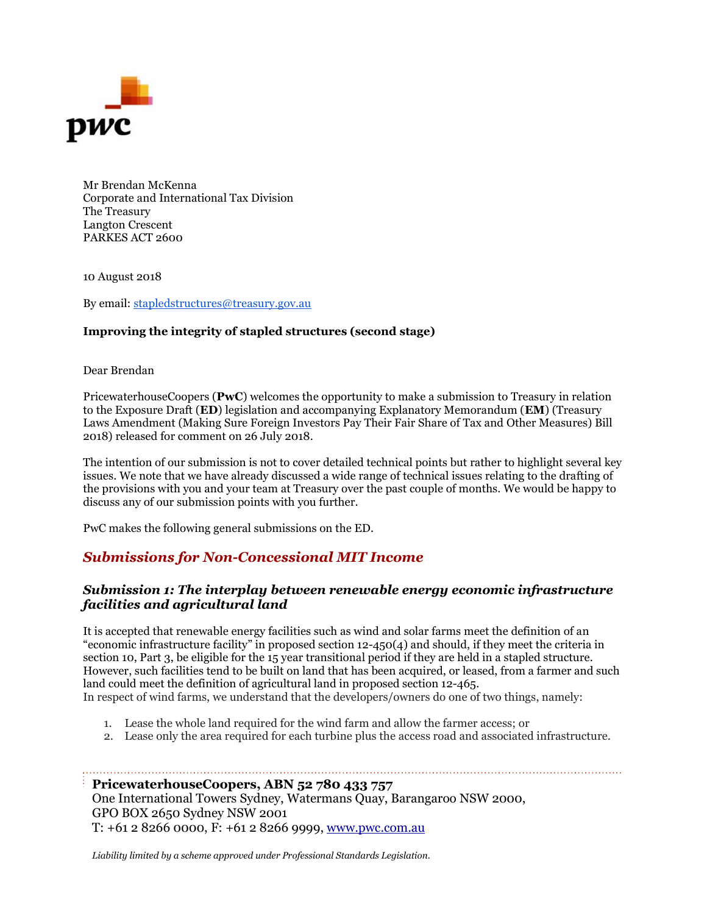

Mr Brendan McKenna Corporate and International Tax Division The Treasury Langton Crescent PARKES ACT 2600

10 August 2018

By email: stapledstructures@treasury.gov.au

#### Improving the integrity of stapled structures (second stage)

Dear Brendan

PricewaterhouseCoopers (PwC) welcomes the opportunity to make a submission to Treasury in relation to the Exposure Draft (ED) legislation and accompanying Explanatory Memorandum (EM) (Treasury Laws Amendment (Making Sure Foreign Investors Pay Their Fair Share of Tax and Other Measures) Bill 2018) released for comment on 26 July 2018.

The intention of our submission is not to cover detailed technical points but rather to highlight several key issues. We note that we have already discussed a wide range of technical issues relating to the drafting of the provisions with you and your team at Treasury over the past couple of months. We would be happy to discuss any of our submission points with you further.

PwC makes the following general submissions on the ED.

## Submissions for Non-Concessional MIT Income

#### Submission 1: The interplay between renewable energy economic infrastructure facilities and agricultural land

It is accepted that renewable energy facilities such as wind and solar farms meet the definition of an "economic infrastructure facility" in proposed section 12-450(4) and should, if they meet the criteria in section 10, Part 3, be eligible for the 15 year transitional period if they are held in a stapled structure. However, such facilities tend to be built on land that has been acquired, or leased, from a farmer and such land could meet the definition of agricultural land in proposed section 12-465.

In respect of wind farms, we understand that the developers/owners do one of two things, namely:

- 1. Lease the whole land required for the wind farm and allow the farmer access; or
- 2. Lease only the area required for each turbine plus the access road and associated infrastructure.

#### PricewaterhouseCoopers, ABN 52 780 433 757

One International Towers Sydney, Watermans Quay, Barangaroo NSW 2000, GPO BOX 2650 Sydney NSW 2001 T: +61 2 8266 0000, F: +61 2 8266 9999, www.pwc.com.au

Liability limited by a scheme approved under Professional Standards Legislation.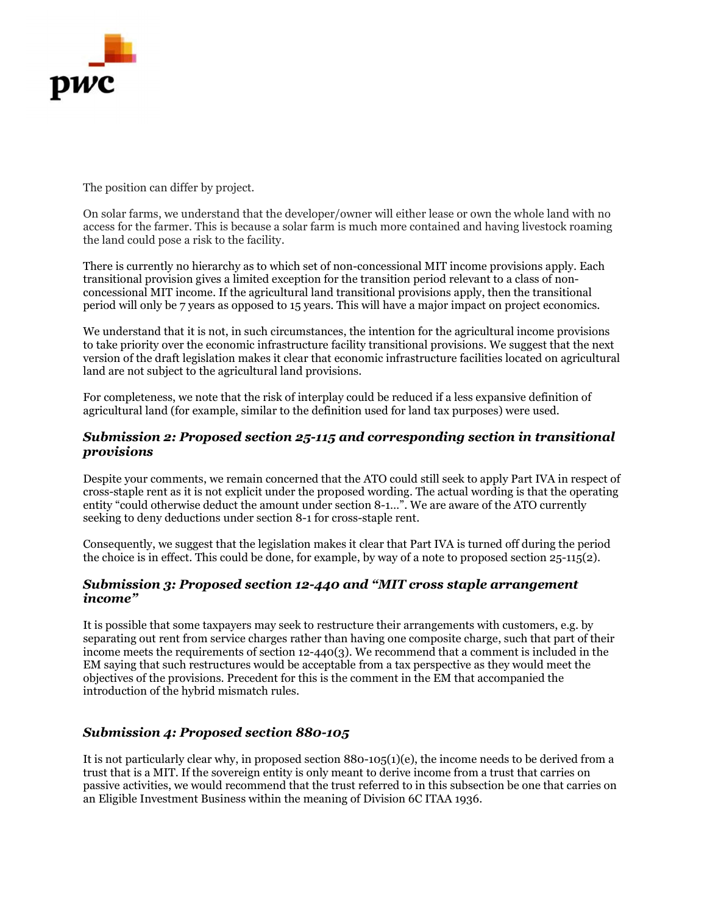

The position can differ by project.

On solar farms, we understand that the developer/owner will either lease or own the whole land with no access for the farmer. This is because a solar farm is much more contained and having livestock roaming the land could pose a risk to the facility.

There is currently no hierarchy as to which set of non-concessional MIT income provisions apply. Each transitional provision gives a limited exception for the transition period relevant to a class of nonconcessional MIT income. If the agricultural land transitional provisions apply, then the transitional period will only be 7 years as opposed to 15 years. This will have a major impact on project economics.

We understand that it is not, in such circumstances, the intention for the agricultural income provisions to take priority over the economic infrastructure facility transitional provisions. We suggest that the next version of the draft legislation makes it clear that economic infrastructure facilities located on agricultural land are not subject to the agricultural land provisions.

For completeness, we note that the risk of interplay could be reduced if a less expansive definition of agricultural land (for example, similar to the definition used for land tax purposes) were used.

#### Submission 2: Proposed section 25-115 and corresponding section in transitional provisions

Despite your comments, we remain concerned that the ATO could still seek to apply Part IVA in respect of cross-staple rent as it is not explicit under the proposed wording. The actual wording is that the operating entity "could otherwise deduct the amount under section 8-1…". We are aware of the ATO currently seeking to deny deductions under section 8-1 for cross-staple rent.

Consequently, we suggest that the legislation makes it clear that Part IVA is turned off during the period the choice is in effect. This could be done, for example, by way of a note to proposed section 25-115(2).

#### Submission 3: Proposed section 12-440 and "MIT cross staple arrangement income"

It is possible that some taxpayers may seek to restructure their arrangements with customers, e.g. by separating out rent from service charges rather than having one composite charge, such that part of their income meets the requirements of section 12-440(3). We recommend that a comment is included in the EM saying that such restructures would be acceptable from a tax perspective as they would meet the objectives of the provisions. Precedent for this is the comment in the EM that accompanied the introduction of the hybrid mismatch rules.

#### Submission 4: Proposed section 880-105

It is not particularly clear why, in proposed section 880-105(1)(e), the income needs to be derived from a trust that is a MIT. If the sovereign entity is only meant to derive income from a trust that carries on passive activities, we would recommend that the trust referred to in this subsection be one that carries on an Eligible Investment Business within the meaning of Division 6C ITAA 1936.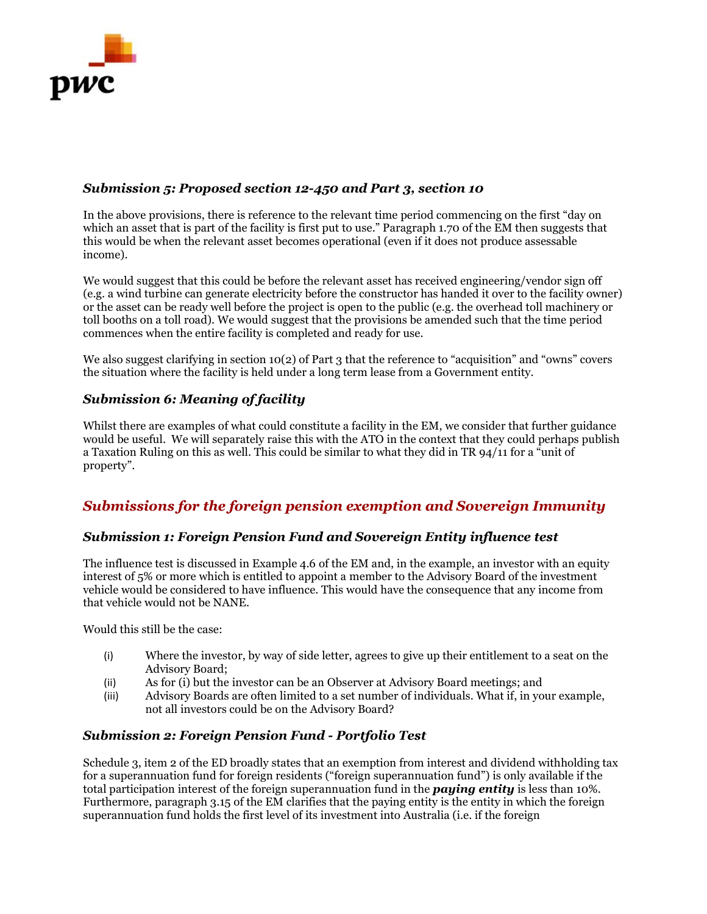

## Submission 5: Proposed section 12-450 and Part 3, section 10

In the above provisions, there is reference to the relevant time period commencing on the first "day on which an asset that is part of the facility is first put to use." Paragraph 1.70 of the EM then suggests that this would be when the relevant asset becomes operational (even if it does not produce assessable income).

We would suggest that this could be before the relevant asset has received engineering/vendor sign off (e.g. a wind turbine can generate electricity before the constructor has handed it over to the facility owner) or the asset can be ready well before the project is open to the public (e.g. the overhead toll machinery or toll booths on a toll road). We would suggest that the provisions be amended such that the time period commences when the entire facility is completed and ready for use.

We also suggest clarifying in section 10(2) of Part 3 that the reference to "acquisition" and "owns" covers the situation where the facility is held under a long term lease from a Government entity.

### Submission 6: Meaning of facility

Whilst there are examples of what could constitute a facility in the EM, we consider that further guidance would be useful. We will separately raise this with the ATO in the context that they could perhaps publish a Taxation Ruling on this as well. This could be similar to what they did in TR 94/11 for a "unit of property".

# Submissions for the foreign pension exemption and Sovereign Immunity

#### Submission 1: Foreign Pension Fund and Sovereign Entity influence test

The influence test is discussed in Example 4.6 of the EM and, in the example, an investor with an equity interest of 5% or more which is entitled to appoint a member to the Advisory Board of the investment vehicle would be considered to have influence. This would have the consequence that any income from that vehicle would not be NANE.

Would this still be the case:

- (i) Where the investor, by way of side letter, agrees to give up their entitlement to a seat on the Advisory Board;
- (ii) As for (i) but the investor can be an Observer at Advisory Board meetings; and
- (iii) Advisory Boards are often limited to a set number of individuals. What if, in your example, not all investors could be on the Advisory Board?

## Submission 2: Foreign Pension Fund - Portfolio Test

Schedule 3, item 2 of the ED broadly states that an exemption from interest and dividend withholding tax for a superannuation fund for foreign residents ("foreign superannuation fund") is only available if the total participation interest of the foreign superannuation fund in the **paying entity** is less than 10%. Furthermore, paragraph 3.15 of the EM clarifies that the paying entity is the entity in which the foreign superannuation fund holds the first level of its investment into Australia (i.e. if the foreign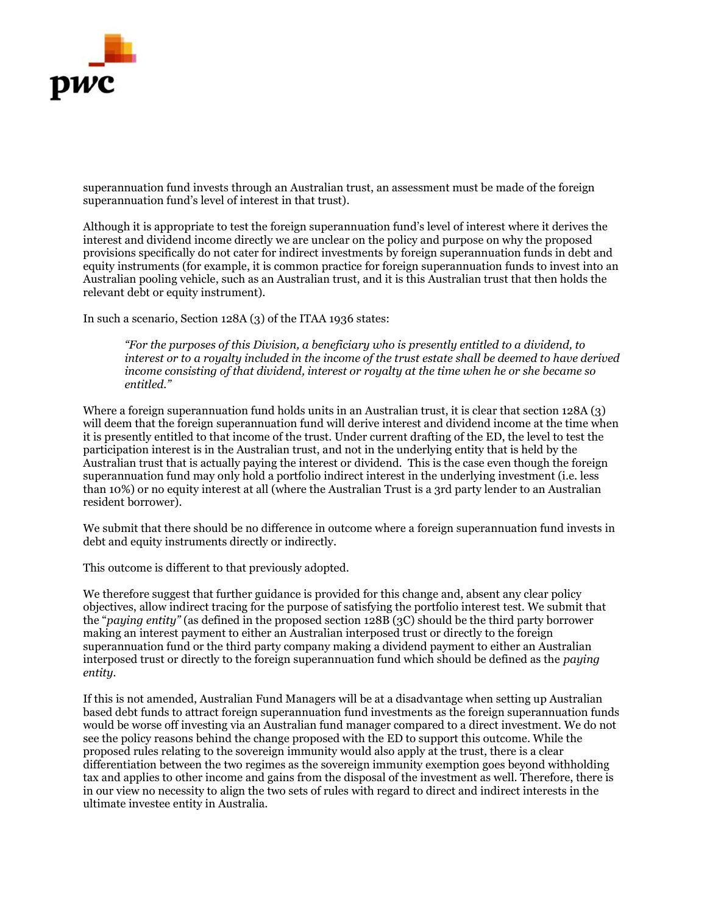

superannuation fund invests through an Australian trust, an assessment must be made of the foreign superannuation fund's level of interest in that trust).

Although it is appropriate to test the foreign superannuation fund's level of interest where it derives the interest and dividend income directly we are unclear on the policy and purpose on why the proposed provisions specifically do not cater for indirect investments by foreign superannuation funds in debt and equity instruments (for example, it is common practice for foreign superannuation funds to invest into an Australian pooling vehicle, such as an Australian trust, and it is this Australian trust that then holds the relevant debt or equity instrument).

In such a scenario, Section 128A (3) of the ITAA 1936 states:

"For the purposes of this Division, a beneficiary who is presently entitled to a dividend, to interest or to a royalty included in the income of the trust estate shall be deemed to have derived income consisting of that dividend, interest or royalty at the time when he or she became so entitled."

Where a foreign superannuation fund holds units in an Australian trust, it is clear that section 128A (3) will deem that the foreign superannuation fund will derive interest and dividend income at the time when it is presently entitled to that income of the trust. Under current drafting of the ED, the level to test the participation interest is in the Australian trust, and not in the underlying entity that is held by the Australian trust that is actually paying the interest or dividend. This is the case even though the foreign superannuation fund may only hold a portfolio indirect interest in the underlying investment (i.e. less than 10%) or no equity interest at all (where the Australian Trust is a 3rd party lender to an Australian resident borrower).

We submit that there should be no difference in outcome where a foreign superannuation fund invests in debt and equity instruments directly or indirectly.

This outcome is different to that previously adopted.

We therefore suggest that further guidance is provided for this change and, absent any clear policy objectives, allow indirect tracing for the purpose of satisfying the portfolio interest test. We submit that the "paying entity" (as defined in the proposed section 128B (3C) should be the third party borrower making an interest payment to either an Australian interposed trust or directly to the foreign superannuation fund or the third party company making a dividend payment to either an Australian interposed trust or directly to the foreign superannuation fund which should be defined as the paying entity.

If this is not amended, Australian Fund Managers will be at a disadvantage when setting up Australian based debt funds to attract foreign superannuation fund investments as the foreign superannuation funds would be worse off investing via an Australian fund manager compared to a direct investment. We do not see the policy reasons behind the change proposed with the ED to support this outcome. While the proposed rules relating to the sovereign immunity would also apply at the trust, there is a clear differentiation between the two regimes as the sovereign immunity exemption goes beyond withholding tax and applies to other income and gains from the disposal of the investment as well. Therefore, there is in our view no necessity to align the two sets of rules with regard to direct and indirect interests in the ultimate investee entity in Australia.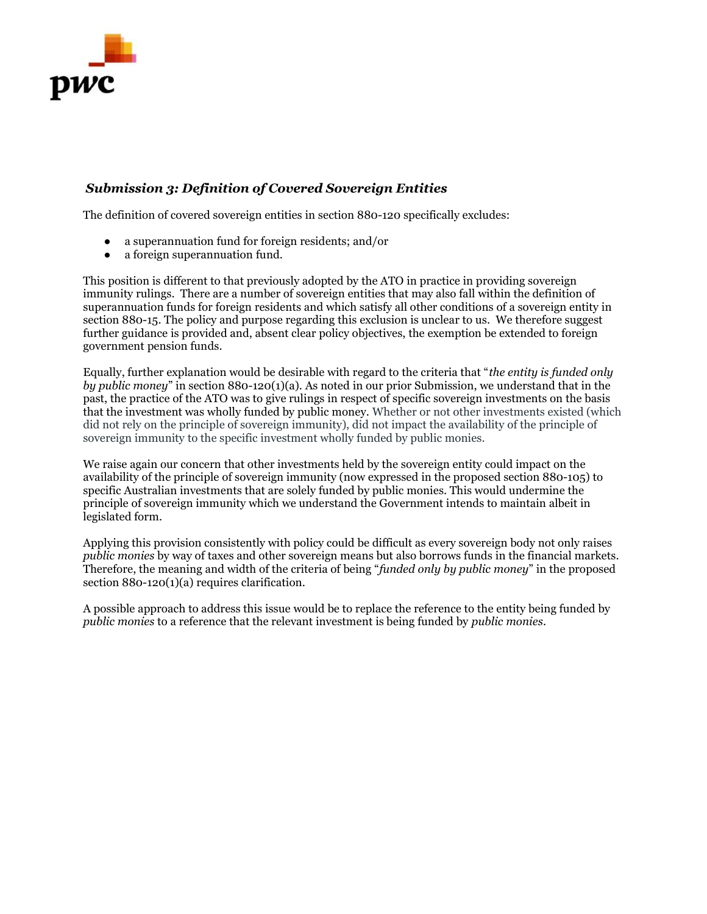

## Submission 3: Definition of Covered Sovereign Entities

The definition of covered sovereign entities in section 880-120 specifically excludes:

- a superannuation fund for foreign residents; and/or
- a foreign superannuation fund.

This position is different to that previously adopted by the ATO in practice in providing sovereign immunity rulings. There are a number of sovereign entities that may also fall within the definition of superannuation funds for foreign residents and which satisfy all other conditions of a sovereign entity in section 880-15. The policy and purpose regarding this exclusion is unclear to us. We therefore suggest further guidance is provided and, absent clear policy objectives, the exemption be extended to foreign government pension funds.

Equally, further explanation would be desirable with regard to the criteria that "the entity is funded only by public money" in section 880-120(1)(a). As noted in our prior Submission, we understand that in the past, the practice of the ATO was to give rulings in respect of specific sovereign investments on the basis that the investment was wholly funded by public money. Whether or not other investments existed (which did not rely on the principle of sovereign immunity), did not impact the availability of the principle of sovereign immunity to the specific investment wholly funded by public monies.

We raise again our concern that other investments held by the sovereign entity could impact on the availability of the principle of sovereign immunity (now expressed in the proposed section 880-105) to specific Australian investments that are solely funded by public monies. This would undermine the principle of sovereign immunity which we understand the Government intends to maintain albeit in legislated form.

Applying this provision consistently with policy could be difficult as every sovereign body not only raises public monies by way of taxes and other sovereign means but also borrows funds in the financial markets. Therefore, the meaning and width of the criteria of being "funded only by public money" in the proposed section 880-120(1)(a) requires clarification.

A possible approach to address this issue would be to replace the reference to the entity being funded by public monies to a reference that the relevant investment is being funded by public monies.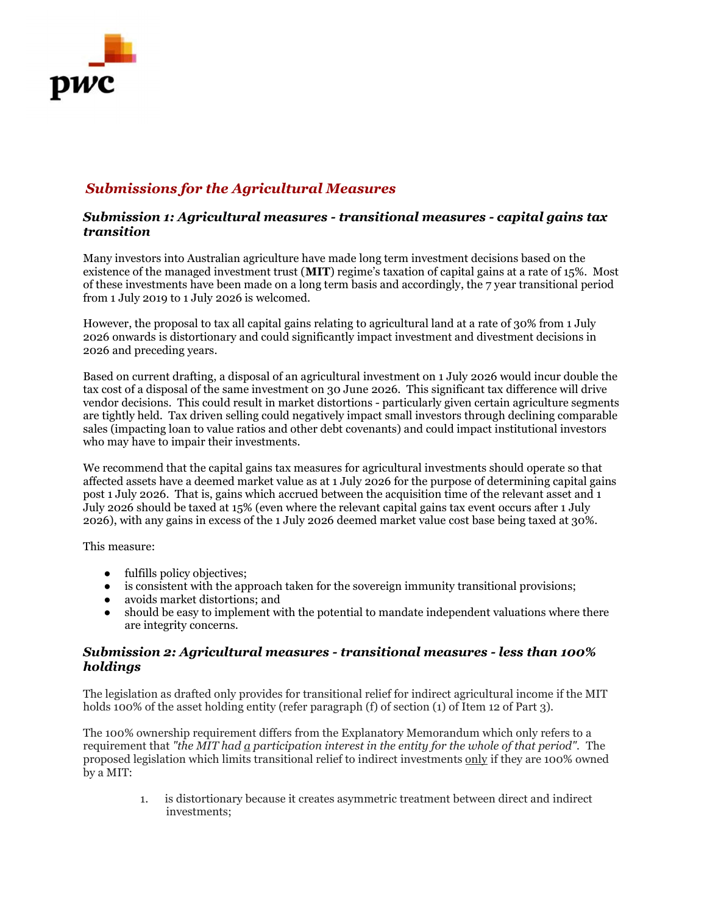

# Submissions for the Agricultural Measures

### Submission 1: Agricultural measures - transitional measures - capital gains tax transition

Many investors into Australian agriculture have made long term investment decisions based on the existence of the managed investment trust (MIT) regime's taxation of capital gains at a rate of 15%. Most of these investments have been made on a long term basis and accordingly, the 7 year transitional period from 1 July 2019 to 1 July 2026 is welcomed.

However, the proposal to tax all capital gains relating to agricultural land at a rate of 30% from 1 July 2026 onwards is distortionary and could significantly impact investment and divestment decisions in 2026 and preceding years.

Based on current drafting, a disposal of an agricultural investment on 1 July 2026 would incur double the tax cost of a disposal of the same investment on 30 June 2026. This significant tax difference will drive vendor decisions. This could result in market distortions - particularly given certain agriculture segments are tightly held. Tax driven selling could negatively impact small investors through declining comparable sales (impacting loan to value ratios and other debt covenants) and could impact institutional investors who may have to impair their investments.

We recommend that the capital gains tax measures for agricultural investments should operate so that affected assets have a deemed market value as at 1 July 2026 for the purpose of determining capital gains post 1 July 2026. That is, gains which accrued between the acquisition time of the relevant asset and 1 July 2026 should be taxed at 15% (even where the relevant capital gains tax event occurs after 1 July 2026), with any gains in excess of the 1 July 2026 deemed market value cost base being taxed at 30%.

This measure:

- fulfills policy objectives;
- is consistent with the approach taken for the sovereign immunity transitional provisions;
- avoids market distortions; and
- should be easy to implement with the potential to mandate independent valuations where there are integrity concerns.

### Submission 2: Agricultural measures - transitional measures - less than 100% holdings

The legislation as drafted only provides for transitional relief for indirect agricultural income if the MIT holds 100% of the asset holding entity (refer paragraph (f) of section (1) of Item 12 of Part 3).

The 100% ownership requirement differs from the Explanatory Memorandum which only refers to a requirement that "the MIT had a participation interest in the entity for the whole of that period". The proposed legislation which limits transitional relief to indirect investments only if they are 100% owned by a MIT:

> 1. is distortionary because it creates asymmetric treatment between direct and indirect investments;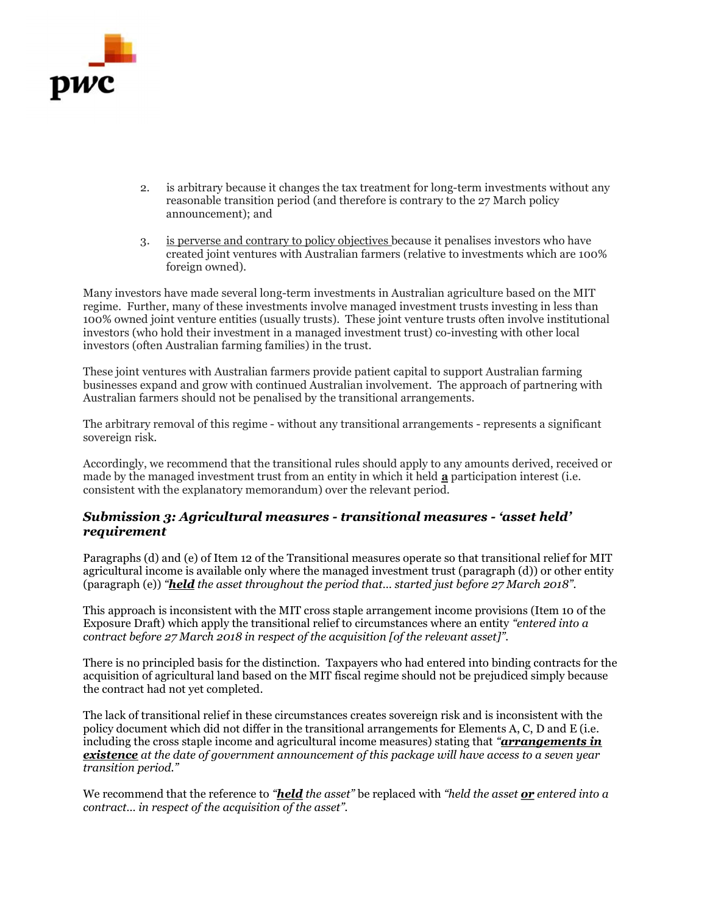

- 2. is arbitrary because it changes the tax treatment for long-term investments without any reasonable transition period (and therefore is contrary to the 27 March policy announcement); and
- 3. is perverse and contrary to policy objectives because it penalises investors who have created joint ventures with Australian farmers (relative to investments which are 100% foreign owned).

Many investors have made several long-term investments in Australian agriculture based on the MIT regime. Further, many of these investments involve managed investment trusts investing in less than 100% owned joint venture entities (usually trusts). These joint venture trusts often involve institutional investors (who hold their investment in a managed investment trust) co-investing with other local investors (often Australian farming families) in the trust.

These joint ventures with Australian farmers provide patient capital to support Australian farming businesses expand and grow with continued Australian involvement. The approach of partnering with Australian farmers should not be penalised by the transitional arrangements.

The arbitrary removal of this regime - without any transitional arrangements - represents a significant sovereign risk.

Accordingly, we recommend that the transitional rules should apply to any amounts derived, received or made by the managed investment trust from an entity in which it held **a** participation interest (i.e. consistent with the explanatory memorandum) over the relevant period.

### Submission 3: Agricultural measures - transitional measures - 'asset held' requirement

Paragraphs (d) and (e) of Item 12 of the Transitional measures operate so that transitional relief for MIT agricultural income is available only where the managed investment trust (paragraph (d)) or other entity (paragraph (e)) "**held** the asset throughout the period that... started just before  $27$  March 2018".

This approach is inconsistent with the MIT cross staple arrangement income provisions (Item 10 of the Exposure Draft) which apply the transitional relief to circumstances where an entity "entered into a contract before 27 March 2018 in respect of the acquisition [of the relevant asset]".

There is no principled basis for the distinction. Taxpayers who had entered into binding contracts for the acquisition of agricultural land based on the MIT fiscal regime should not be prejudiced simply because the contract had not yet completed.

The lack of transitional relief in these circumstances creates sovereign risk and is inconsistent with the policy document which did not differ in the transitional arrangements for Elements A, C, D and E (i.e. including the cross staple income and agricultural income measures) stating that "**arrangements in existence** at the date of government announcement of this package will have access to a seven year transition period."

We recommend that the reference to "**held** the asset" be replaced with "held the asset  $or$  entered into a contract… in respect of the acquisition of the asset".